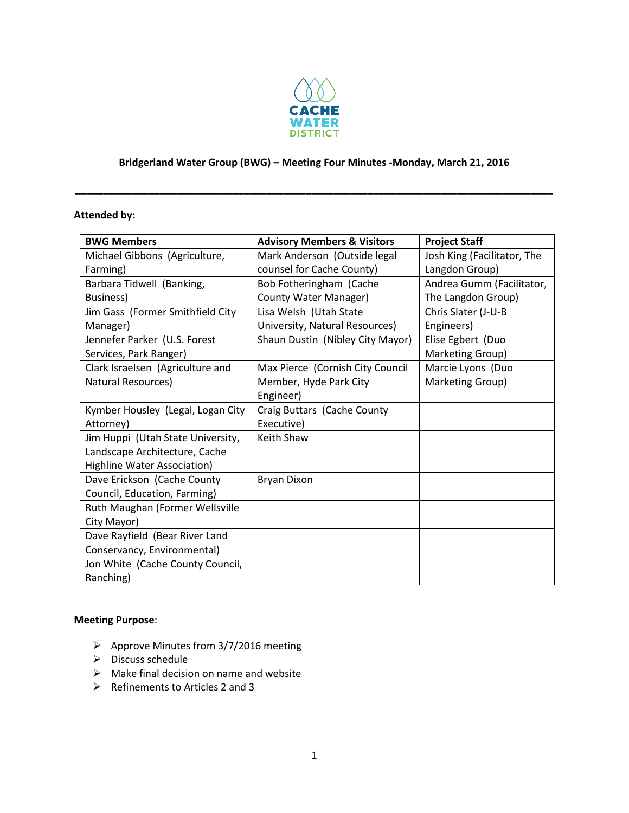

# **Bridgerland Water Group (BWG) – Meeting Four Minutes -Monday, March 21, 2016**

**\_\_\_\_\_\_\_\_\_\_\_\_\_\_\_\_\_\_\_\_\_\_\_\_\_\_\_\_\_\_\_\_\_\_\_\_\_\_\_\_\_\_\_\_\_\_\_\_\_\_\_\_\_\_\_\_\_\_\_\_\_\_\_\_\_\_\_\_\_\_\_\_\_\_\_\_\_\_\_\_\_\_\_\_\_**

### **Attended by:**

| <b>BWG Members</b>                | <b>Advisory Members &amp; Visitors</b> | <b>Project Staff</b>        |
|-----------------------------------|----------------------------------------|-----------------------------|
| Michael Gibbons (Agriculture,     | Mark Anderson (Outside legal           | Josh King (Facilitator, The |
| Farming)                          | counsel for Cache County)              | Langdon Group)              |
| Barbara Tidwell (Banking,         | Bob Fotheringham (Cache                | Andrea Gumm (Facilitator,   |
| Business)                         | County Water Manager)                  | The Langdon Group)          |
| Jim Gass (Former Smithfield City  | Lisa Welsh (Utah State                 | Chris Slater (J-U-B         |
| Manager)                          | University, Natural Resources)         | Engineers)                  |
| Jennefer Parker (U.S. Forest      | Shaun Dustin (Nibley City Mayor)       | Elise Egbert (Duo           |
| Services, Park Ranger)            |                                        | Marketing Group)            |
| Clark Israelsen (Agriculture and  | Max Pierce (Cornish City Council       | Marcie Lyons (Duo           |
| Natural Resources)                | Member, Hyde Park City                 | Marketing Group)            |
|                                   | Engineer)                              |                             |
| Kymber Housley (Legal, Logan City | Craig Buttars (Cache County            |                             |
| Attorney)                         | Executive)                             |                             |
| Jim Huppi (Utah State University, | Keith Shaw                             |                             |
| Landscape Architecture, Cache     |                                        |                             |
| Highline Water Association)       |                                        |                             |
| Dave Erickson (Cache County       | Bryan Dixon                            |                             |
| Council, Education, Farming)      |                                        |                             |
| Ruth Maughan (Former Wellsville   |                                        |                             |
| City Mayor)                       |                                        |                             |
| Dave Rayfield (Bear River Land    |                                        |                             |
| Conservancy, Environmental)       |                                        |                             |
| Jon White (Cache County Council,  |                                        |                             |
| Ranching)                         |                                        |                             |

#### **Meeting Purpose**:

- $\triangleright$  Approve Minutes from 3/7/2016 meeting
- $\triangleright$  Discuss schedule
- $\triangleright$  Make final decision on name and website
- $\triangleright$  Refinements to Articles 2 and 3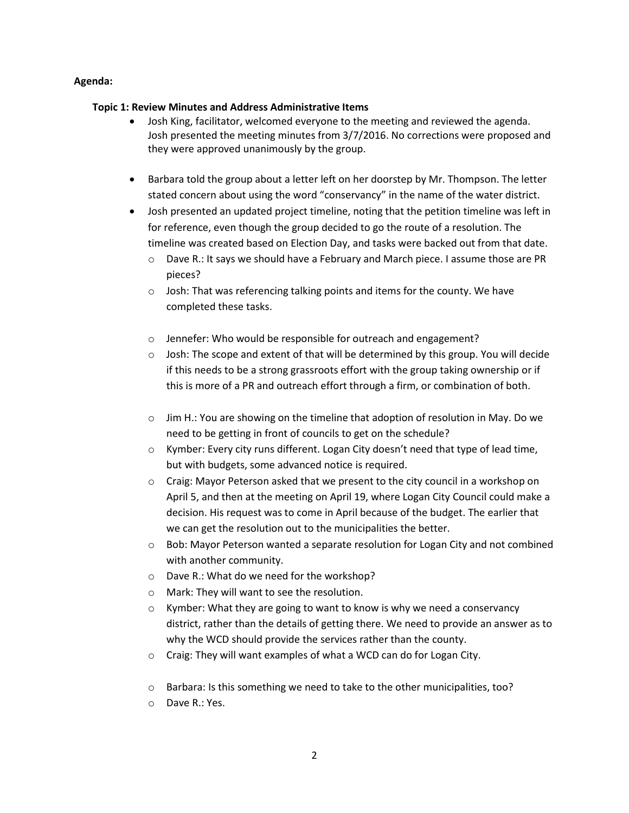#### **Agenda:**

#### **Topic 1: Review Minutes and Address Administrative Items**

- Josh King, facilitator, welcomed everyone to the meeting and reviewed the agenda. Josh presented the meeting minutes from 3/7/2016. No corrections were proposed and they were approved unanimously by the group.
- Barbara told the group about a letter left on her doorstep by Mr. Thompson. The letter stated concern about using the word "conservancy" in the name of the water district.
- Josh presented an updated project timeline, noting that the petition timeline was left in for reference, even though the group decided to go the route of a resolution. The timeline was created based on Election Day, and tasks were backed out from that date.
	- o Dave R.: It says we should have a February and March piece. I assume those are PR pieces?
	- o Josh: That was referencing talking points and items for the county. We have completed these tasks.
	- o Jennefer: Who would be responsible for outreach and engagement?
	- $\circ$  Josh: The scope and extent of that will be determined by this group. You will decide if this needs to be a strong grassroots effort with the group taking ownership or if this is more of a PR and outreach effort through a firm, or combination of both.
	- $\circ$  Jim H.: You are showing on the timeline that adoption of resolution in May. Do we need to be getting in front of councils to get on the schedule?
	- $\circ$  Kymber: Every city runs different. Logan City doesn't need that type of lead time, but with budgets, some advanced notice is required.
	- $\circ$  Craig: Mayor Peterson asked that we present to the city council in a workshop on April 5, and then at the meeting on April 19, where Logan City Council could make a decision. His request was to come in April because of the budget. The earlier that we can get the resolution out to the municipalities the better.
	- $\circ$  Bob: Mayor Peterson wanted a separate resolution for Logan City and not combined with another community.
	- o Dave R.: What do we need for the workshop?
	- o Mark: They will want to see the resolution.
	- $\circ$  Kymber: What they are going to want to know is why we need a conservancy district, rather than the details of getting there. We need to provide an answer as to why the WCD should provide the services rather than the county.
	- o Craig: They will want examples of what a WCD can do for Logan City.
	- o Barbara: Is this something we need to take to the other municipalities, too?
	- o Dave R.: Yes.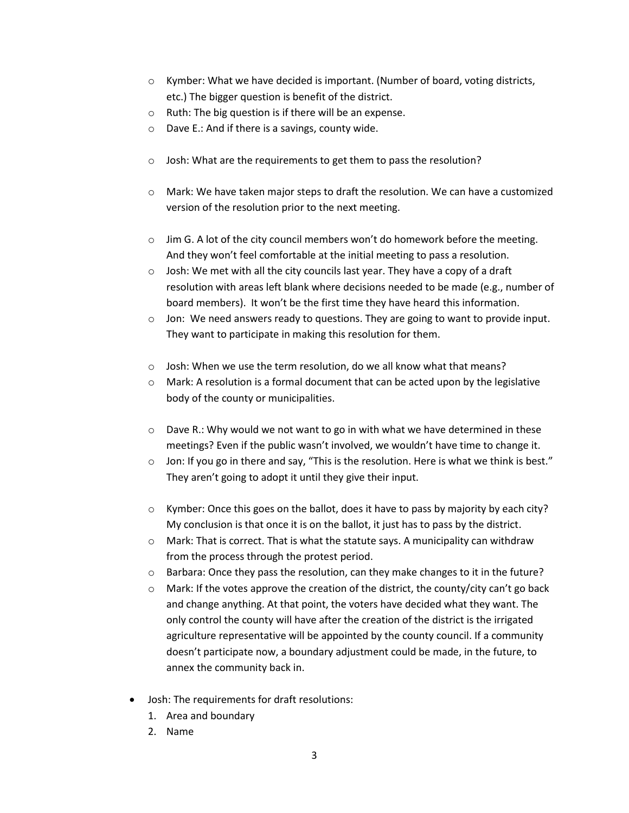- $\circ$  Kymber: What we have decided is important. (Number of board, voting districts, etc.) The bigger question is benefit of the district.
- o Ruth: The big question is if there will be an expense.
- o Dave E.: And if there is a savings, county wide.
- o Josh: What are the requirements to get them to pass the resolution?
- $\circ$  Mark: We have taken major steps to draft the resolution. We can have a customized version of the resolution prior to the next meeting.
- $\circ$  Jim G. A lot of the city council members won't do homework before the meeting. And they won't feel comfortable at the initial meeting to pass a resolution.
- o Josh: We met with all the city councils last year. They have a copy of a draft resolution with areas left blank where decisions needed to be made (e.g., number of board members). It won't be the first time they have heard this information.
- $\circ$  Jon: We need answers ready to questions. They are going to want to provide input. They want to participate in making this resolution for them.
- o Josh: When we use the term resolution, do we all know what that means?
- $\circ$  Mark: A resolution is a formal document that can be acted upon by the legislative body of the county or municipalities.
- $\circ$  Dave R.: Why would we not want to go in with what we have determined in these meetings? Even if the public wasn't involved, we wouldn't have time to change it.
- $\circ$  Jon: If you go in there and say, "This is the resolution. Here is what we think is best." They aren't going to adopt it until they give their input.
- o Kymber: Once this goes on the ballot, does it have to pass by majority by each city? My conclusion is that once it is on the ballot, it just has to pass by the district.
- o Mark: That is correct. That is what the statute says. A municipality can withdraw from the process through the protest period.
- $\circ$  Barbara: Once they pass the resolution, can they make changes to it in the future?
- $\circ$  Mark: If the votes approve the creation of the district, the county/city can't go back and change anything. At that point, the voters have decided what they want. The only control the county will have after the creation of the district is the irrigated agriculture representative will be appointed by the county council. If a community doesn't participate now, a boundary adjustment could be made, in the future, to annex the community back in.
- Josh: The requirements for draft resolutions:
	- 1. Area and boundary
	- 2. Name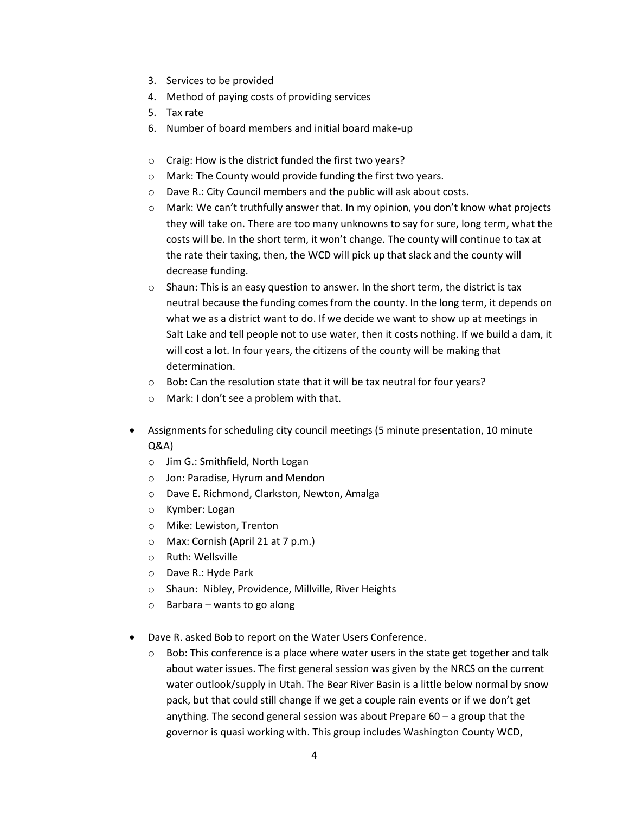- 3. Services to be provided
- 4. Method of paying costs of providing services
- 5. Tax rate
- 6. Number of board members and initial board make-up
- o Craig: How is the district funded the first two years?
- o Mark: The County would provide funding the first two years.
- o Dave R.: City Council members and the public will ask about costs.
- $\circ$  Mark: We can't truthfully answer that. In my opinion, you don't know what projects they will take on. There are too many unknowns to say for sure, long term, what the costs will be. In the short term, it won't change. The county will continue to tax at the rate their taxing, then, the WCD will pick up that slack and the county will decrease funding.
- o Shaun: This is an easy question to answer. In the short term, the district is tax neutral because the funding comes from the county. In the long term, it depends on what we as a district want to do. If we decide we want to show up at meetings in Salt Lake and tell people not to use water, then it costs nothing. If we build a dam, it will cost a lot. In four years, the citizens of the county will be making that determination.
- $\circ$  Bob: Can the resolution state that it will be tax neutral for four years?
- o Mark: I don't see a problem with that.
- Assignments for scheduling city council meetings (5 minute presentation, 10 minute Q&A)
	- o Jim G.: Smithfield, North Logan
	- o Jon: Paradise, Hyrum and Mendon
	- o Dave E. Richmond, Clarkston, Newton, Amalga
	- o Kymber: Logan
	- o Mike: Lewiston, Trenton
	- o Max: Cornish (April 21 at 7 p.m.)
	- o Ruth: Wellsville
	- o Dave R.: Hyde Park
	- o Shaun: Nibley, Providence, Millville, River Heights
	- $\circ$  Barbara wants to go along
- Dave R. asked Bob to report on the Water Users Conference.
	- $\circ$  Bob: This conference is a place where water users in the state get together and talk about water issues. The first general session was given by the NRCS on the current water outlook/supply in Utah. The Bear River Basin is a little below normal by snow pack, but that could still change if we get a couple rain events or if we don't get anything. The second general session was about Prepare 60 – a group that the governor is quasi working with. This group includes Washington County WCD,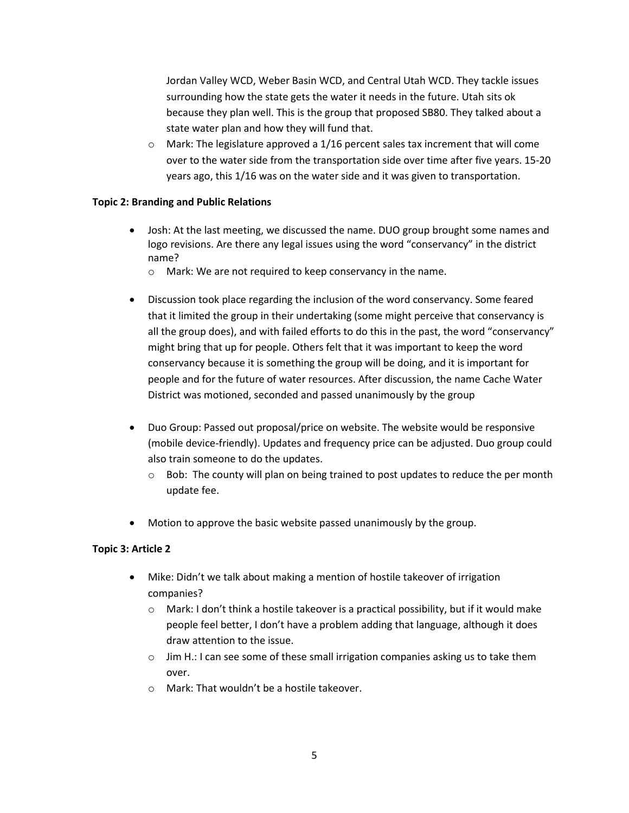Jordan Valley WCD, Weber Basin WCD, and Central Utah WCD. They tackle issues surrounding how the state gets the water it needs in the future. Utah sits ok because they plan well. This is the group that proposed SB80. They talked about a state water plan and how they will fund that.

 $\circ$  Mark: The legislature approved a 1/16 percent sales tax increment that will come over to the water side from the transportation side over time after five years. 15-20 years ago, this 1/16 was on the water side and it was given to transportation.

### **Topic 2: Branding and Public Relations**

- Josh: At the last meeting, we discussed the name. DUO group brought some names and logo revisions. Are there any legal issues using the word "conservancy" in the district name?
	- o Mark: We are not required to keep conservancy in the name.
- Discussion took place regarding the inclusion of the word conservancy. Some feared that it limited the group in their undertaking (some might perceive that conservancy is all the group does), and with failed efforts to do this in the past, the word "conservancy" might bring that up for people. Others felt that it was important to keep the word conservancy because it is something the group will be doing, and it is important for people and for the future of water resources. After discussion, the name Cache Water District was motioned, seconded and passed unanimously by the group
- Duo Group: Passed out proposal/price on website. The website would be responsive (mobile device-friendly). Updates and frequency price can be adjusted. Duo group could also train someone to do the updates.
	- $\circ$  Bob: The county will plan on being trained to post updates to reduce the per month update fee.
- Motion to approve the basic website passed unanimously by the group.

## **Topic 3: Article 2**

- Mike: Didn't we talk about making a mention of hostile takeover of irrigation companies?
	- $\circ$  Mark: I don't think a hostile takeover is a practical possibility, but if it would make people feel better, I don't have a problem adding that language, although it does draw attention to the issue.
	- $\circ$  Jim H.: I can see some of these small irrigation companies asking us to take them over.
	- o Mark: That wouldn't be a hostile takeover.